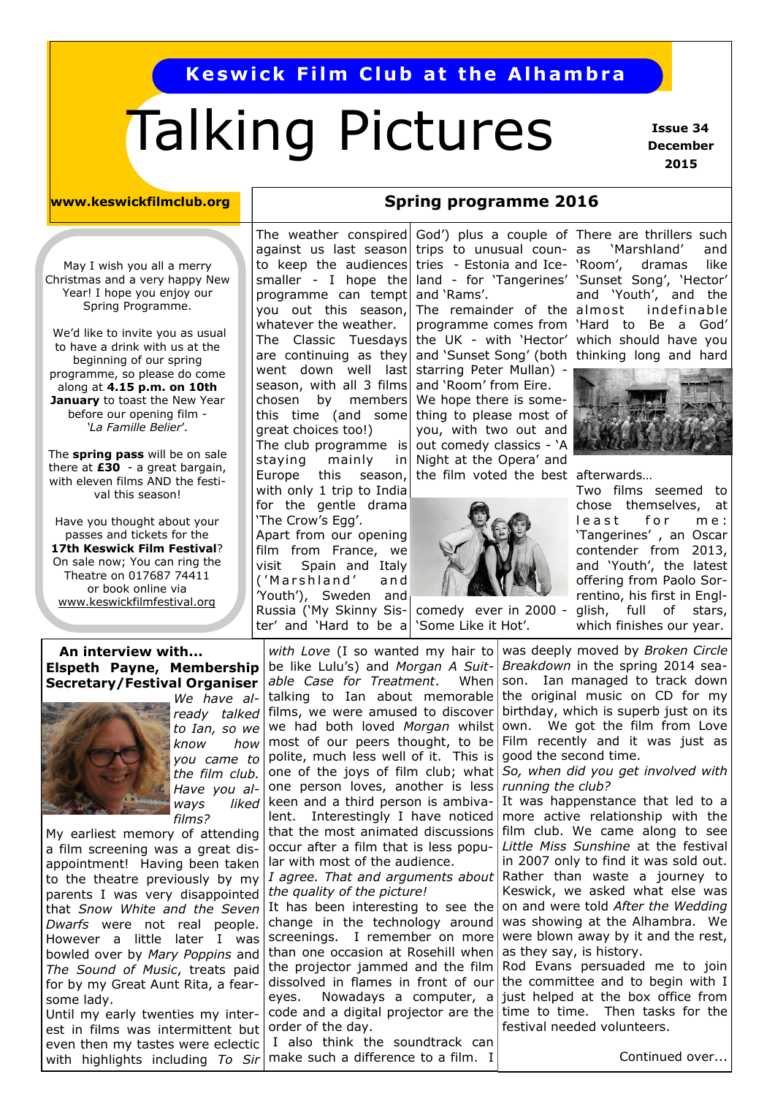## **Keswick Film Club at the Alhambra**

# Talking Pictures

 **Issue 34 December 2015**

#### **www.keswickfilmclub.org Spring programme 2016**

May I wish you all a merry Christmas and a very happy New Year! I hope you enjoy our Spring Programme.

We'd like to invite you as usual to have a drink with us at the beginning of our spring programme, so please do come along at **4.15 p.m. on 10th January** to toast the New Year before our opening film - *'La Famille Belier*'*.* 

The **spring pass** will be on sale there at **£30** - a great bargain, with eleven films AND the festival this season!

Have you thought about your passes and tickets for the **17th Keswick Film Festival**? On sale now; You can ring the Theatre on 017687 74411 or book online via [www.keswickfilmfestival.org](http://www.keswickfilmfestival.org)

#### The weather conspired against us last season to keep the audiences programme can tempt and 'Rams'. you out this season, whatever the weather. The Classic Tuesdays are continuing as they went down well last season, with all 3 films chosen by members this time (and some great choices too!) The club programme is staying mainly in Europe this season, with only 1 trip to India for the gentle drama 'The Crow's Egg'.

Apart from our opening film from France, we visit Spain and Italy ('Marshland' and 'Youth'), Sweden and Russia ('My Skinny Sister' and 'Hard to be a

tries - Estonia and Ice- 'Room', The remainder of the almost starring Peter Mullan) and 'Room' from Eire. We hope there is something to please most of you, with two out and out comedy classics - 'A Night at the Opera' and the film voted the best afterwards…



comedy ever in 2000 'Some Like it Hot'.

smaller - I hope the land - for 'Tangerines' 'Sunset Song', 'Hector' God') plus a couple of There are thrillers such trips to unusual counprogramme comes from 'Hard to Be a God' the UK - with 'Hector' which should have you and 'Sunset Song' (both thinking long and hard 'Marshland' and dramas like and 'Youth', and the indefinable



Two films seemed to chose themselves, at least for me: 'Tangerines' , an Oscar contender from 2013, and 'Youth', the latest offering from Paolo Sorrentino, his first in Englglish, full of stars, which finishes our year.

## **An interview with... Secretary/Festival Organiser**



*We have already talked to Ian, so we know how you came to the film club. Have you always liked films?*

My earliest memory of attending a film screening was a great disappointment! Having been taken to the theatre previously by my parents I was very disappointed that *Snow White and the Seven Dwarfs* were not real people. However a little later I was bowled over by *Mary Poppins* and *The Sound of Music*, treats paid for by my Great Aunt Rita, a fearsome lady. Until my early twenties my inter-

est in films was intermittent but even then my tastes were eclectic with highlights including *To Sir* 

**Elspeth Payne, Membership** be like Lulu's) and *Morgan A Suit- Breakdown* in the spring 2014 seawith Love (I so wanted my hair to was deeply moved by *Broken Circle* able Case for Treatment. talking to Ian about memorable the original music on CD for my films, we were amused to discover we had both loved *Morgan* whilst most of our peers thought, to be Film recently and it was just as polite, much less well of it. This is one of the joys of film club; what *So, when did you get involved with*  one person loves, another is less keen and a third person is ambivalent. Interestingly I have noticed that the most animated discussions occur after a film that is less popular with most of the audience.

*I agree. That and arguments about the quality of the picture!*

It has been interesting to see the change in the technology around screenings. I remember on more than one occasion at Rosehill when the projector jammed and the film dissolved in flames in front of our eyes. Nowadays a computer, a code and a digital projector are the time to time. Then tasks for the order of the day.

I also think the soundtrack can make such a difference to a film. I

When son. Ian managed to track down birthday, which is superb just on its own. We got the film from Love good the second time.

*running the club?*

It was happenstance that led to a more active relationship with the film club. We came along to see *Little Miss Sunshine* at the festival in 2007 only to find it was sold out. Rather than waste a journey to Keswick, we asked what else was on and were told *After the Wedding* was showing at the Alhambra. We were blown away by it and the rest, as they say, is history.

Rod Evans persuaded me to join the committee and to begin with I just helped at the box office from festival needed volunteers.

Continued over...